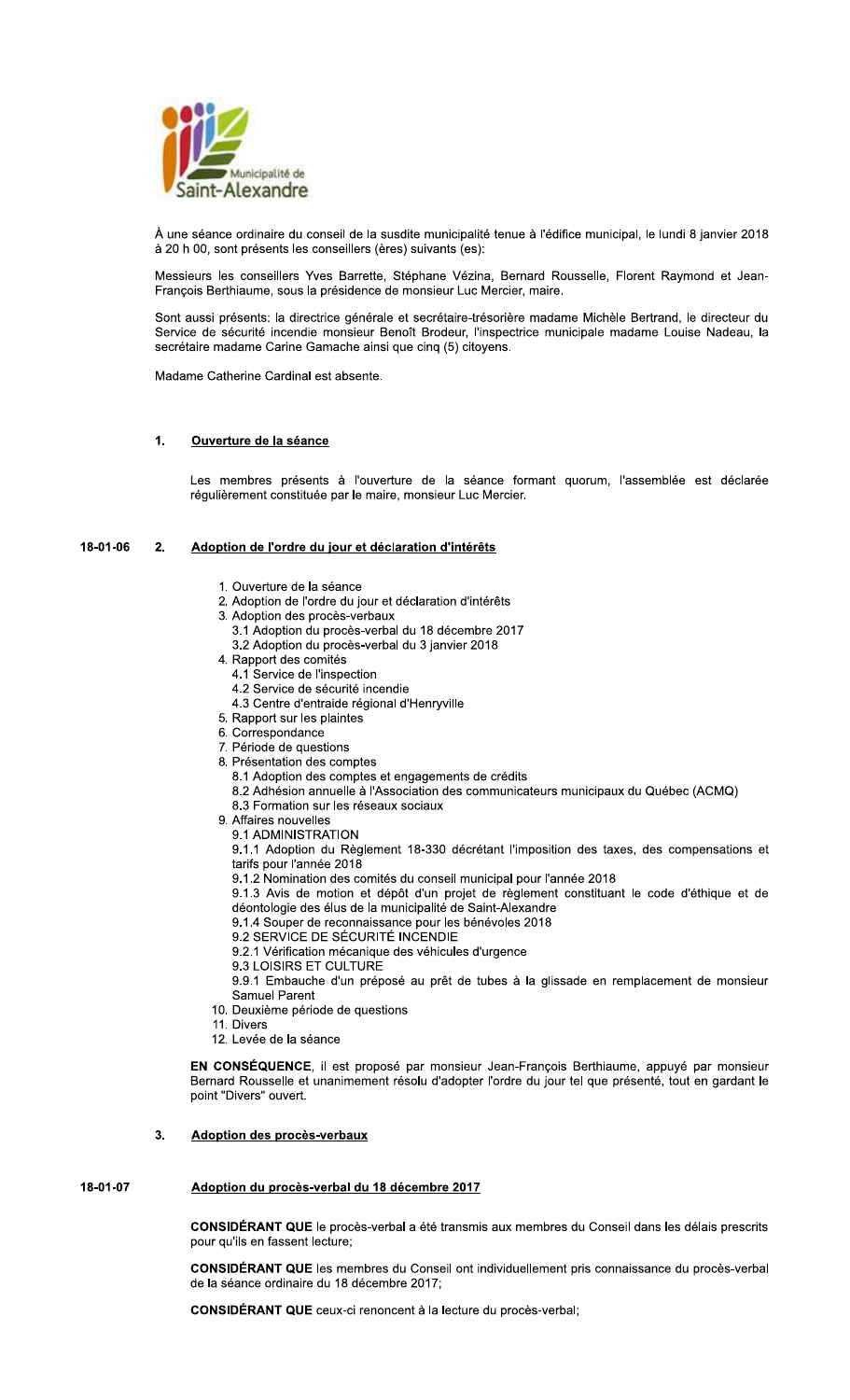

À une séance ordinaire du conseil de la susdite municipalité tenue à l'édifice municipal, le lundi 8 janvier 2018 à 20 h 00, sont présents les conseillers (ères) suivants (es):

Messieurs les conseillers Yves Barrette, Stéphane Vézina, Bernard Rousselle, Florent Raymond et Jean-François Berthiaume, sous la présidence de monsieur Luc Mercier, maire.

Sont aussi présents: la directrice générale et secrétaire-trésorière madame Michèle Bertrand, le directeur du Service de sécurité incendie monsieur Benoît Brodeur, l'inspectrice municipale madame Louise Nadeau, la secrétaire madame Carine Gamache ainsi que cinq (5) citoyens.

Madame Catherine Cardinal est absente.

### $\overline{1}$ . Ouverture de la séance

Les membres présents à l'ouverture de la séance formant quorum, l'assemblée est déclarée régulièrement constituée par le maire, monsieur Luc Mercier.

#### 18-01-06  $2<sub>1</sub>$ Adoption de l'ordre du jour et déclaration d'intérêts

- 1. Ouverture de la séance
- 2. Adoption de l'ordre du jour et déclaration d'intérêts
- 3. Adoption des procès-verbaux
	- 3.1 Adoption du procès-verbal du 18 décembre 2017
	- 3.2 Adoption du procès-verbal du 3 janvier 2018
- 4. Rapport des comités
	- 4.1 Service de l'inspection
	- 4.2 Service de sécurité incendie
	- 4.3 Centre d'entraide régional d'Henryville
- 5. Rapport sur les plaintes
- 6. Correspondance
- 7. Période de questions
- 8. Présentation des comptes
	- 8.1 Adoption des comptes et engagements de crédits
	- 8.2 Adhésion annuelle à l'Association des communicateurs municipaux du Québec (ACMQ)
	- 8.3 Formation sur les réseaux sociaux
- 9. Affaires nouvelles
	- 9.1 ADMINISTRATION

9.1.1 Adoption du Règlement 18-330 décrétant l'imposition des taxes, des compensations et tarifs pour l'année 2018

- 9.1.2 Nomination des comités du conseil municipal pour l'année 2018
- 9.1.3 Avis de motion et dépôt d'un projet de règlement constituant le code d'éthique et de déontologie des élus de la municipalité de Saint-Alexandre
- 9.1.4 Souper de reconnaissance pour les bénévoles 2018
- 9.2 SERVICE DE SÉCURITÉ INCENDIE
- 9.2.1 Vérification mécanique des véhicules d'urgence
- 9.3 LOISIRS ET CULTURE

9.9.1 Embauche d'un préposé au prêt de tubes à la glissade en remplacement de monsieur Samuel Parent

- 10. Deuxième période de questions
- 11. Divers
- 12. Levée de la séance

EN CONSÉQUENCE, il est proposé par monsieur Jean-François Berthiaume, appuyé par monsieur Bernard Rousselle et unanimement résolu d'adopter l'ordre du jour tel que présenté, tout en gardant le point "Divers" ouvert.

# $3.$ **Adoption des procès-verbaux**

# 18-01-07 Adoption du procès-verbal du 18 décembre 2017

CONSIDÉRANT QUE le procès-verbal a été transmis aux membres du Conseil dans les délais prescrits pour qu'ils en fassent lecture;

CONSIDÉRANT QUE les membres du Conseil ont individuellement pris connaissance du procès-verbal de la séance ordinaire du 18 décembre 2017;

**CONSIDÉRANT QUE** ceux-ci renoncent à la lecture du procès-verbal;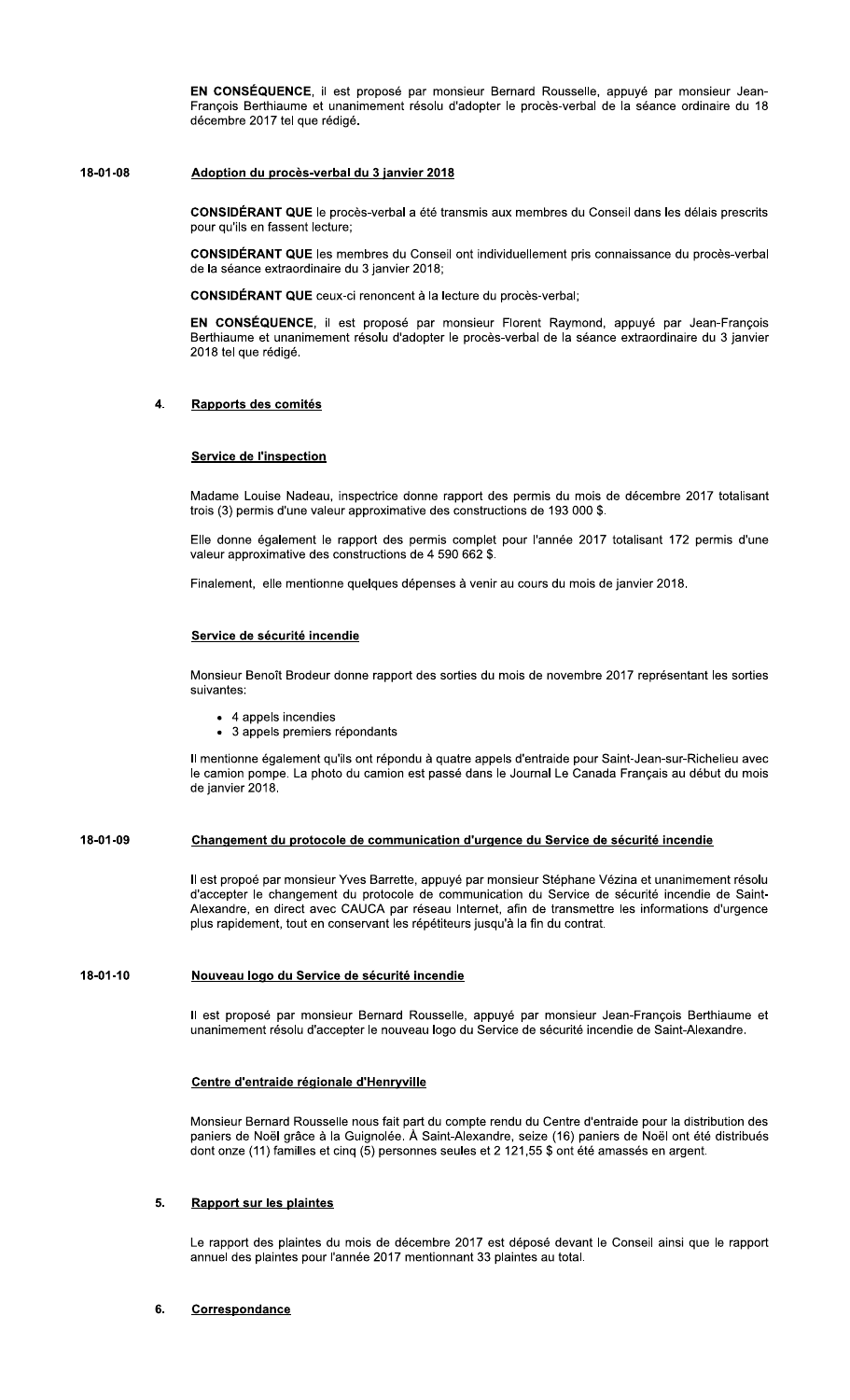EN CONSÉQUENCE, il est proposé par monsieur Bernard Rousselle, appuyé par monsieur Jean-François Berthiaume et unanimement résolu d'adopter le procès-verbal de la séance ordinaire du 18 décembre 2017 tel que rédigé.

#### 18-01-08 Adoption du procès-verbal du 3 janvier 2018

CONSIDÉRANT QUE le procès-verbal a été transmis aux membres du Conseil dans les délais prescrits pour qu'ils en fassent lecture:

**CONSIDÉRANT QUE** les membres du Conseil ont individuellement pris connaissance du procès-verbal de la séance extraordinaire du 3 janvier 2018;

**CONSIDÉRANT QUE** ceux-ci renoncent à la lecture du procès-verbal:

EN CONSÉQUENCE, il est proposé par monsieur Florent Raymond, appuyé par Jean-François Berthiaume et unanimement résolu d'adopter le procès-verbal de la séance extraordinaire du 3 janvier 2018 tel que rédigé.

### $\mathbf{A}$ Rapports des comités

# **Service de l'inspection**

Madame Louise Nadeau, inspectrice donne rapport des permis du mois de décembre 2017 totalisant trois (3) permis d'une valeur approximative des constructions de 193 000 \$.

Elle donne également le rapport des permis complet pour l'année 2017 totalisant 172 permis d'une valeur approximative des constructions de 4 590 662 \$.

Finalement, elle mentionne quelques dépenses à venir au cours du mois de janvier 2018.

# Service de sécurité incendie

Monsieur Benoît Brodeur donne rapport des sorties du mois de novembre 2017 représentant les sorties suivantes:

- 4 appels incendies
- 3 appels premiers répondants

Il mentionne également qu'ils ont répondu à quatre appels d'entraide pour Saint-Jean-sur-Richelieu avec le camion pompe. La photo du camion est passé dans le Journal Le Canada Français au début du mois de janvier 2018.

## 18-01-09 Changement du protocole de communication d'urgence du Service de sécurité incendie

Il est propoé par monsieur Yves Barrette, appuyé par monsieur Stéphane Vézina et unanimement résolu d'accepter le changement du protocole de communication du Service de sécurité incendie de Saint-Alexandre, en direct avec CAUCA par réseau Internet, afin de transmettre les informations d'urgence plus rapidement, tout en conservant les répétiteurs jusqu'à la fin du contrat.

### 18-01-10 Nouveau logo du Service de sécurité incendie

Il est proposé par monsieur Bernard Rousselle, appuyé par monsieur Jean-François Berthiaume et unanimement résolu d'accepter le nouveau logo du Service de sécurité incendie de Saint-Alexandre.

# Centre d'entraide régionale d'Henryville

Monsieur Bernard Rousselle nous fait part du compte rendu du Centre d'entraide pour la distribution des paniers de Noël grâce à la Guignolée. À Saint-Alexandre, seize (16) paniers de Noël ont été distribués dont onze (11) familles et cinq (5) personnes seules et 2 121,55 \$ ont été amassés en argent.

#### 5. **Rapport sur les plaintes**

Le rapport des plaintes du mois de décembre 2017 est déposé devant le Conseil ainsi que le rapport annuel des plaintes pour l'année 2017 mentionnant 33 plaintes au total.

#### 6. Correspondance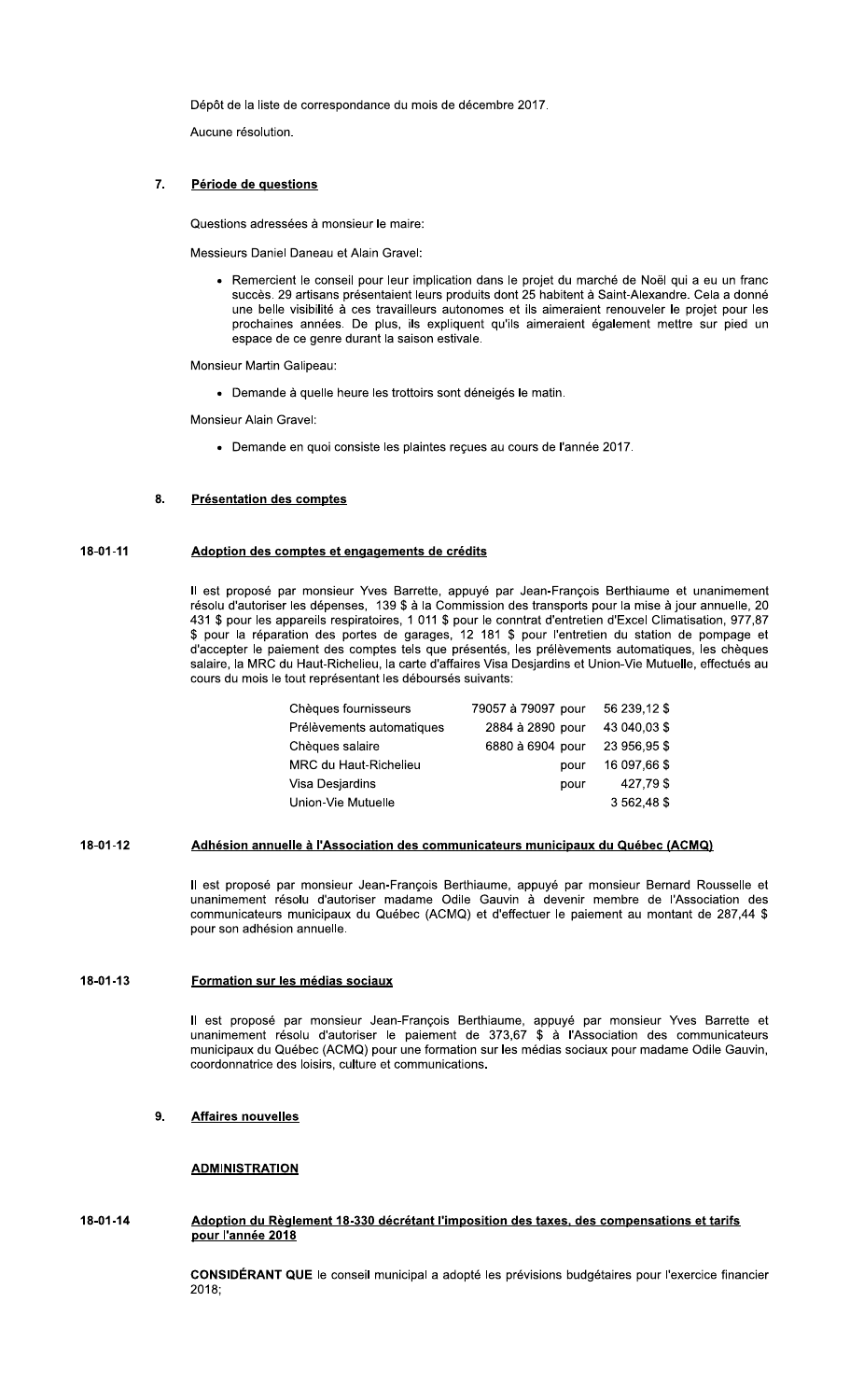Dépôt de la liste de correspondance du mois de décembre 2017.

Aucune résolution.

#### $\overline{7}$ . Période de questions

Questions adressées à monsieur le maire:

Messieurs Daniel Daneau et Alain Gravel:

· Remercient le conseil pour leur implication dans le projet du marché de Noël qui a eu un franc succès. 29 artisans présentaient leurs produits dont 25 habitent à Saint-Alexandre. Cela a donné une belle visibilité à ces travailleurs autonomes et ils aimeraient renouveler le projet pour les prochaines années. De plus, ils expliquent qu'ils aimeraient également mettre sur pied un espace de ce genre durant la saison estivale.

Monsieur Martin Galipeau:

- Demande à quelle heure les trottoirs sont déneigés le matin.

Monsieur Alain Gravel:

- Demande en quoi consiste les plaintes reçues au cours de l'année 2017.

# **Présentation des comptes** 8.

# 18-01-11 Adoption des comptes et engagements de crédits

Il est proposé par monsieur Yves Barrette, appuyé par Jean-François Berthiaume et unanimement résolu d'autoriser les dépenses, 139 \$ à la Commission des transports pour la mise à jour annuelle, 20 431 \$ pour les appareils respiratoires, 1 011 \$ pour le conntrat d'entretien d'Excel Climatisation, 977,87 \$ pour la réparation des portes de garages, 12 181 \$ pour l'entretien du station de pompage et d'accepter le paiement des comptes tels que présentés, les prélèvements automatiques, les chèques salaire, la MRC du Haut-Richelieu, la carte d'affaires Visa Desjardins et Union-Vie Mutuelle, effectués au cours du mois le tout représentant les déboursés suivants:

| Chèques fournisseurs      | 79057 à 79097 pour | 56 239.12 \$ |
|---------------------------|--------------------|--------------|
| Prélèvements automatiques | 2884 à 2890 pour   | 43 040,03 \$ |
| Chèques salaire           | 6880 à 6904 pour   | 23 956,95 \$ |
| MRC du Haut-Richelieu     | pour               | 16 097,66 \$ |
| Visa Desjardins           | pour               | 427,79 \$    |
| Union-Vie Mutuelle        |                    | 3 562,48 \$  |

### 18-01-12 Adhésion annuelle à l'Association des communicateurs municipaux du Québec (ACMQ)

Il est proposé par monsieur Jean-François Berthiaume, appuyé par monsieur Bernard Rousselle et unanimement résolu d'autoriser madame Odile Gauvin à devenir membre de l'Association des communicateurs municipaux du Québec (ACMQ) et d'effectuer le paiement au montant de 287,44 \$ pour son adhésion annuelle.

#### 18-01-13 Formation sur les médias sociaux

Il est proposé par monsieur Jean-François Berthiaume, appuyé par monsieur Yves Barrette et unanimement résolu d'autoriser le paiement de 373,67 \$ à l'Association des communicateurs municipaux du Québec (ACMQ) pour une formation sur les médias sociaux pour madame Odile Gauvin, coordonnatrice des loisirs, culture et communications.

# $9.$ **Affaires nouvelles**

# **ADMINISTRATION**

# 18-01-14 Adoption du Règlement 18-330 décrétant l'imposition des taxes, des compensations et tarifs pour l'année 2018

CONSIDÉRANT QUE le conseil municipal a adopté les prévisions budgétaires pour l'exercice financier 2018: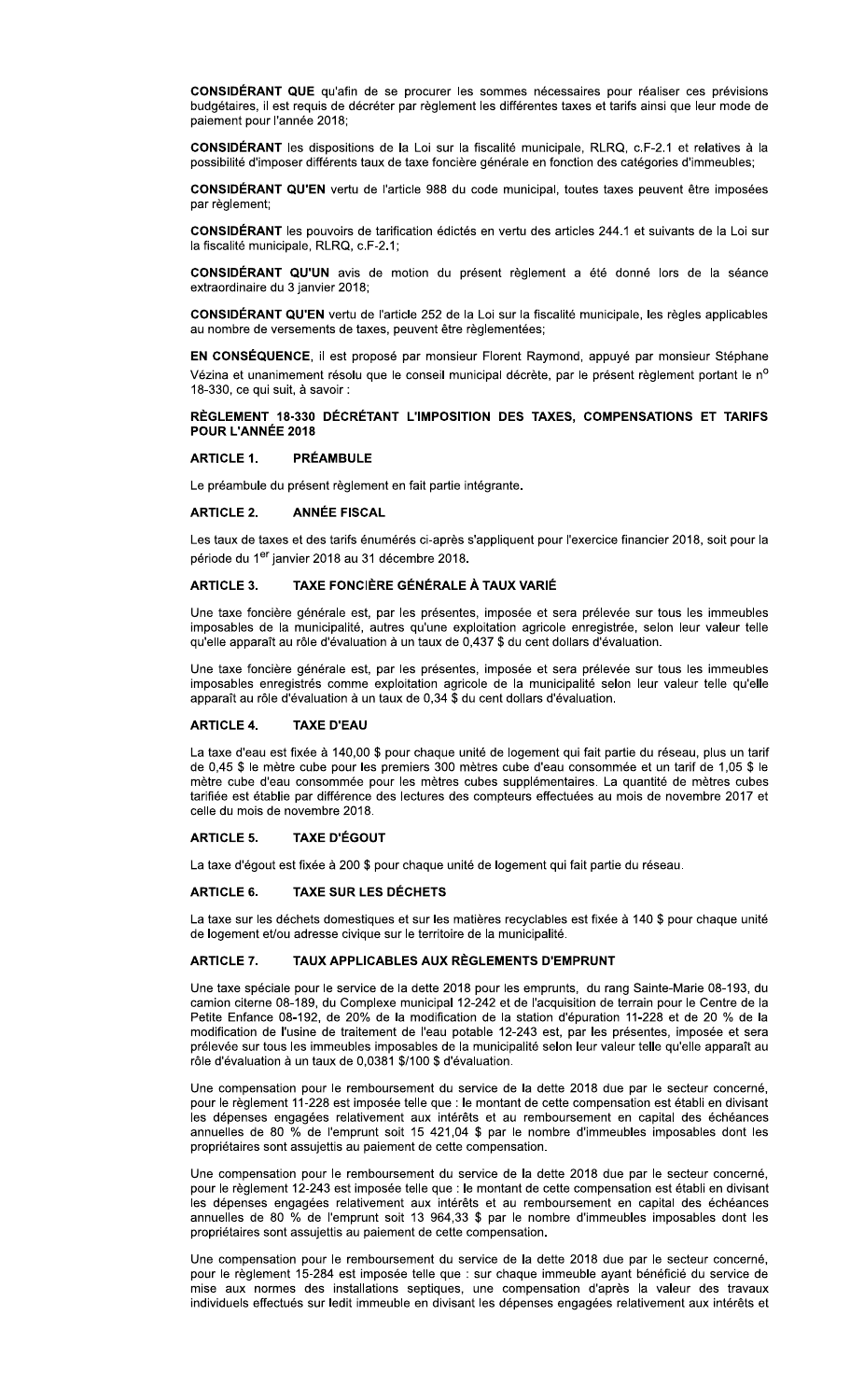CONSIDÉRANT QUE qu'afin de se procurer les sommes nécessaires pour réaliser ces prévisions budgétaires, il est requis de décréter par règlement les différentes taxes et tarifs ainsi que leur mode de paiement pour l'année 2018;

CONSIDÉRANT les dispositions de la Loi sur la fiscalité municipale, RLRQ, c.F-2.1 et relatives à la possibilité d'imposer différents taux de taxe foncière générale en fonction des catégories d'immeubles;

CONSIDÉRANT QU'EN vertu de l'article 988 du code municipal, toutes taxes peuvent être imposées par règlement;

CONSIDÉRANT les pouvoirs de tarification édictés en vertu des articles 244.1 et suivants de la Loi sur la fiscalité municipale, RLRQ, c.F-2.1;

CONSIDÉRANT QU'UN avis de motion du présent règlement a été donné lors de la séance extraordinaire du 3 janvier 2018;

CONSIDÉRANT QU'EN vertu de l'article 252 de la Loi sur la fiscalité municipale, les règles applicables au nombre de versements de taxes, peuvent être règlementées;

EN CONSÉQUENCE, il est proposé par monsieur Florent Raymond, appuyé par monsieur Stéphane Vézina et unanimement résolu que le conseil municipal décrète, par le présent règlement portant le nº 18-330, ce qui suit, à savoir :

# RÈGLEMENT 18-330 DÉCRÉTANT L'IMPOSITION DES TAXES, COMPENSATIONS ET TARIFS POUR L'ANNÉE 2018

### **ARTICLE 1. PRÉAMBULE**

Le préambule du présent règlement en fait partie intégrante.

#### **ARTICLE 2. ANNÉE FISCAL**

Les taux de taxes et des tarifs énumérés ci-après s'appliquent pour l'exercice financier 2018, soit pour la période du 1<sup>er</sup> janvier 2018 au 31 décembre 2018.

#### TAXE FONCIÈRE GÉNÉRALE À TAUX VARIÉ **ARTICLE 3.**

Une taxe foncière générale est, par les présentes, imposée et sera prélevée sur tous les immeubles imposables de la municipalité, autres qu'une exploitation agricole enregistrée, selon leur valeur telle qu'elle apparaît au rôle d'évaluation à un taux de 0,437 \$ du cent dollars d'évaluation.

Une taxe foncière générale est, par les présentes, imposée et sera prélevée sur tous les immeubles imposables enregistrés comme exploitation agricole de la municipalité selon leur valeur telle qu'elle apparaît au rôle d'évaluation à un taux de 0,34 \$ du cent dollars d'évaluation.

#### **ARTICLE 4. TAXE D'EAU**

La taxe d'eau est fixée à 140,00 \$ pour chaque unité de logement qui fait partie du réseau, plus un tarif de 0,45 \$ le mètre cube pour les premiers 300 mètres cube d'eau consommée et un tarif de 1,05 \$ le mètre cube d'eau consommée pour les mètres cubes supplémentaires. La quantité de mètres cubes tarifiée est établie par différence des lectures des compteurs effectuées au mois de novembre 2017 et celle du mois de novembre 2018.

#### **ARTICLE 5. TAXE D'ÉGOUT**

La taxe d'égout est fixée à 200 \$ pour chaque unité de logement qui fait partie du réseau.

#### **ARTICLE 6. TAXE SUR LES DÉCHETS**

La taxe sur les déchets domestiques et sur les matières recyclables est fixée à 140 \$ pour chaque unité de logement et/ou adresse civique sur le territoire de la municipalité.

#### TAUX APPLICABLES AUX RÈGLEMENTS D'EMPRUNT **ARTICLE 7.**

Une taxe spéciale pour le service de la dette 2018 pour les emprunts, du rang Sainte-Marie 08-193, du camion citerne 08-189, du Complexe municipal 12-242 et de l'acquisition de terrain pour le Centre de la Petite Enfance 08-192, de 20% de la modification de la station d'épuration 11-228 et de 20 % de la modification de l'usine de traitement de l'eau potable 12-243 est, par les présentes, imposée et sera prélevée sur tous les immeubles imposables de la municipalité selon leur valeur telle qu'elle apparaît au rôle d'évaluation à un taux de 0,0381 \$/100 \$ d'évaluation.

Une compensation pour le remboursement du service de la dette 2018 due par le secteur concerné, pour le règlement 11-228 est imposée telle que : le montant de cette compensation est établi en divisant les dépenses engagées relativement aux intérêts et au remboursement en capital des échéances annuelles de 80 % de l'emprunt soit 15 421,04 \$ par le nombre d'immeubles imposables dont les propriétaires sont assujettis au paiement de cette compensation.

Une compensation pour le remboursement du service de la dette 2018 due par le secteur concerné, pour le règlement 12-243 est imposée telle que : le montant de cette compensation est établi en divisant les dépenses engagées relativement aux intérêts et au remboursement en capital des échéances annuelles de 80 % de l'emprunt soit 13 964,33 \$ par le nombre d'immeubles imposables dont les propriétaires sont assujettis au paiement de cette compensation.

Une compensation pour le remboursement du service de la dette 2018 due par le secteur concerné, pour le règlement 15-284 est imposée telle que : sur chaque immeuble ayant bénéficié du service de mise aux normes des installations septiques, une compensation d'après la valeur des travaux individuels effectués sur ledit immeuble en divisant les dépenses engagées relativement aux intérêts et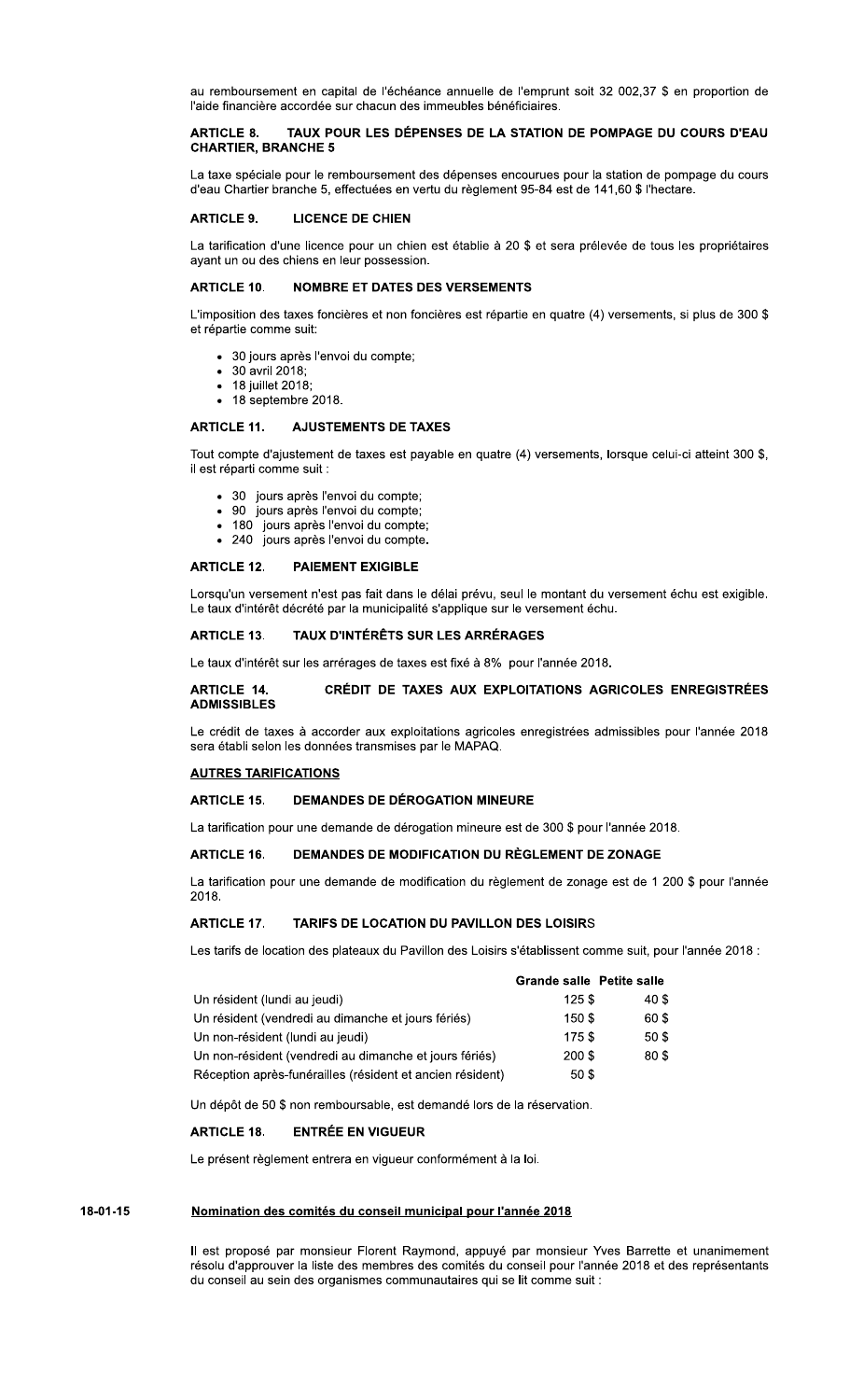au remboursement en capital de l'échéance annuelle de l'emprunt soit 32 002,37 \$ en proportion de l'aide financière accordée sur chacun des immeubles bénéficiaires.

# TAUX POUR LES DÉPENSES DE LA STATION DE POMPAGE DU COURS D'EAU **ARTICLE 8. CHARTIER, BRANCHE 5**

La taxe spéciale pour le remboursement des dépenses encourues pour la station de pompage du cours d'eau Chartier branche 5, effectuées en vertu du règlement 95-84 est de 141,60 \$ l'hectare.

#### **ARTICLE 9. LICENCE DE CHIEN**

La tarification d'une licence pour un chien est établie à 20 \$ et sera prélevée de tous les propriétaires ayant un ou des chiens en leur possession.

# NOMBRE ET DATES DES VERSEMENTS **ARTICLE 10.**

L'imposition des taxes foncières et non foncières est répartie en quatre (4) versements, si plus de 300 \$ et répartie comme suit:

- · 30 jours après l'envoi du compte;
- 30 avril 2018:
- 18 juillet 2018; • 18 septembre 2018.
- 

# **ARTICLE 11. AJUSTEMENTS DE TAXES**

Tout compte d'ajustement de taxes est payable en quatre (4) versements, lorsque celui-ci atteint 300 \$, il est réparti comme suit :

- 
- 30 jours après l'envoi du compte;<br>• 90 jours après l'envoi du compte;
- 180 jours après l'envoi du compte;
- · 240 jours après l'envoi du compte.

### **ARTICLE 12. PAIEMENT EXIGIBLE**

Lorsqu'un versement n'est pas fait dans le délai prévu, seul le montant du versement échu est exigible. Le taux d'intérêt décrété par la municipalité s'applique sur le versement échu.

### **ARTICLE 13.** TAUX D'INTÉRÊTS SUR LES ARRÉRAGES

Le taux d'intérêt sur les arrérages de taxes est fixé à 8% pour l'année 2018.

# **ARTICLE 14.** CRÉDIT DE TAXES AUX EXPLOITATIONS AGRICOLES ENREGISTRÉES **ADMISSIBLES**

Le crédit de taxes à accorder aux exploitations agricoles enregistrées admissibles pour l'année 2018 sera établi selon les données transmises par le MAPAQ.

# **AUTRES TARIFICATIONS**

# **DEMANDES DE DÉROGATION MINEURE ARTICLE 15.**

La tarification pour une demande de dérogation mineure est de 300 \$ pour l'année 2018.

### **ARTICLE 16.** DEMANDES DE MODIFICATION DU RÈGLEMENT DE ZONAGE

La tarification pour une demande de modification du règlement de zonage est de 1 200 \$ pour l'année 2018.

#### **ARTICLE 17.** TARIFS DE LOCATION DU PAVILLON DES LOISIRS

Les tarifs de location des plateaux du Pavillon des Loisirs s'établissent comme suit, pour l'année 2018 :

|                                                           | <b>Grande salle Petite salle</b> |       |
|-----------------------------------------------------------|----------------------------------|-------|
| Un résident (lundi au jeudi)                              | 125S                             | 40 \$ |
| Un résident (vendredi au dimanche et jours fériés)        | 150 \$                           | 60 \$ |
| Un non-résident (lundi au jeudi)                          | 175\$                            | 50 \$ |
| Un non-résident (vendredi au dimanche et jours fériés)    | 200 \$                           | 80 \$ |
| Réception après-funérailles (résident et ancien résident) | 50 S                             |       |

Un dépôt de 50 \$ non remboursable, est demandé lors de la réservation.

### **ARTICLE 18. ENTRÉE EN VIGUEUR**

Le présent règlement entrera en vigueur conformément à la loi.

### 18-01-15 Nomination des comités du conseil municipal pour l'année 2018

Il est proposé par monsieur Florent Raymond, appuyé par monsieur Yves Barrette et unanimement résolu d'approuver la liste des membres des comités du conseil pour l'année 2018 et des représentants du conseil au sein des organismes communautaires qui se lit comme suit :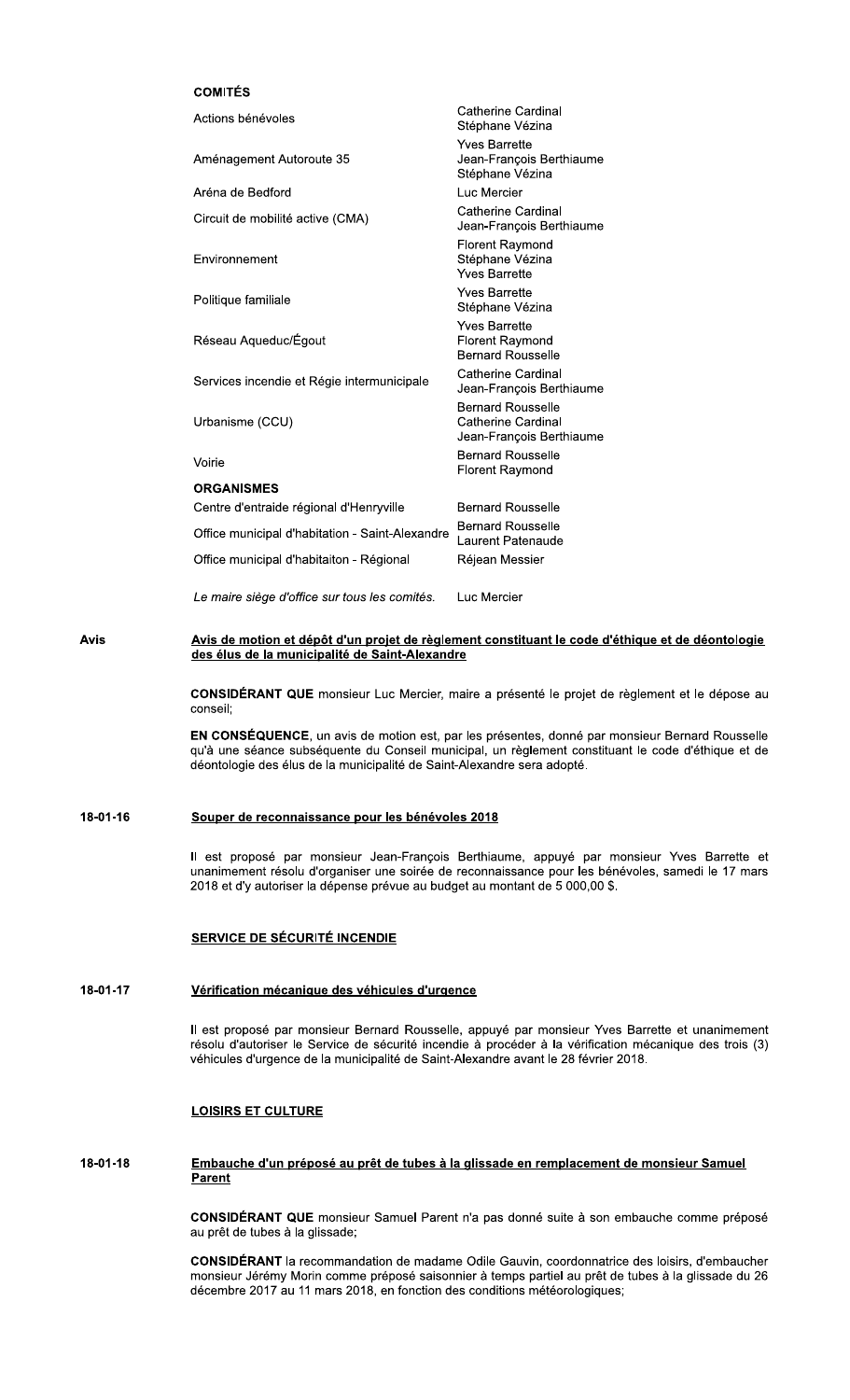# **COMITÉS**

| Actions bénévoles                               | Catherine Cardinal<br>Stéphane Vézina                                      |
|-------------------------------------------------|----------------------------------------------------------------------------|
| Aménagement Autoroute 35                        | <b>Yves Barrette</b><br>Jean-François Berthiaume<br>Stéphane Vézina        |
| Aréna de Bedford                                | Luc Mercier                                                                |
| Circuit de mobilité active (CMA)                | Catherine Cardinal<br>Jean-François Berthiaume                             |
| Environnement                                   | <b>Florent Raymond</b><br>Stéphane Vézina<br><b>Yves Barrette</b>          |
| Politique familiale                             | <b>Yves Barrette</b><br>Stéphane Vézina                                    |
| Réseau Aqueduc/Égout                            | <b>Yves Barrette</b><br><b>Florent Raymond</b><br><b>Bernard Rousselle</b> |
| Services incendie et Régie intermunicipale      | Catherine Cardinal<br>Jean-François Berthiaume                             |
| Urbanisme (CCU)                                 | <b>Bernard Rousselle</b><br>Catherine Cardinal<br>Jean-François Berthiaume |
| Voirie                                          | <b>Bernard Rousselle</b><br><b>Florent Raymond</b>                         |
| <b>ORGANISMES</b>                               |                                                                            |
| Centre d'entraide régional d'Henryville         | <b>Bernard Rousselle</b>                                                   |
| Office municipal d'habitation - Saint-Alexandre | <b>Bernard Rousselle</b><br>Laurent Patenaude                              |
| Office municipal d'habitaiton - Régional        | Réjean Messier                                                             |
| Le maire siège d'office sur tous les comités.   | Luc Mercier                                                                |

Avis

Avis de motion et dépôt d'un projet de règlement constituant le code d'éthique et de déontologie des élus de la municipalité de Saint-Alexandre

CONSIDÉRANT QUE monsieur Luc Mercier, maire a présenté le projet de règlement et le dépose au conseil;

EN CONSÉQUENCE, un avis de motion est, par les présentes, donné par monsieur Bernard Rousselle qu'à une séance subséquente du Conseil municipal, un règlement constituant le code d'éthique et de déontologie des élus de la municipalité de Saint-Alexandre sera adopté.

# 18-01-16 Souper de reconnaissance pour les bénévoles 2018

Il est proposé par monsieur Jean-François Berthiaume, appuyé par monsieur Yves Barrette et unanimement résolu d'organiser une soirée de reconnaissance pour les bénévoles, samedi le 17 mars 2018 et d'y autoriser la dépense prévue au budget au montant de 5 000,00 \$.

# **SERVICE DE SÉCURITÉ INCENDIE**

### 18-01-17 Vérification mécanique des véhicules d'urgence

Il est proposé par monsieur Bernard Rousselle, appuyé par monsieur Yves Barrette et unanimement résolu d'autoriser le Service de sécurité incendie à procéder à la vérification mécanique des trois (3) véhicules d'urgence de la municipalité de Saint-Alexandre avant le 28 février 2018.

# **LOISIRS ET CULTURE**

# 18-01-18 Embauche d'un préposé au prêt de tubes à la glissade en remplacement de monsieur Samuel **Parent**

CONSIDÉRANT QUE monsieur Samuel Parent n'a pas donné suite à son embauche comme préposé au prêt de tubes à la glissade;

CONSIDÉRANT la recommandation de madame Odile Gauvin, coordonnatrice des loisirs, d'embaucher monsieur Jérémy Morin comme préposé saisonnier à temps partiel au prêt de tubes à la glissade du 26 décembre 2017 au 11 mars 2018, en fonction des conditions météorologiques;